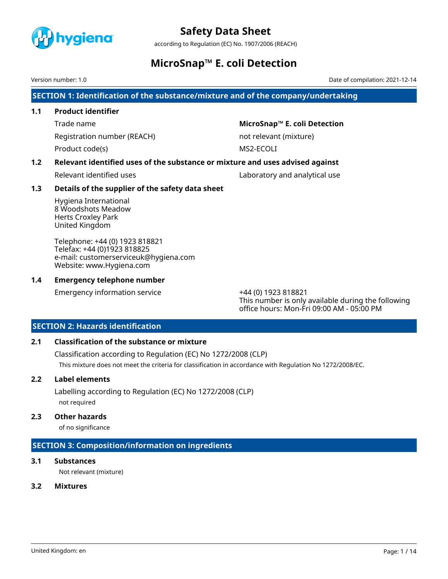

according to Regulation (EC) No. 1907/2006 (REACH)

### **MicroSnap™ E. coli Detection**

Version number: 1.0 Date of compilation: 2021-12-14

**SECTION 1: Identification of the substance/mixture and of the company/undertaking**

### **1.1 Product identifier**

Registration number (REACH) not relevant (mixture)

Product code(s) MS2-ECOLI

Trade name **MicroSnap™ E. coli Detection**

### **1.2 Relevant identified uses of the substance or mixture and uses advised against**

Relevant identified uses Laboratory and analytical use

### **1.3 Details of the supplier of the safety data sheet**

Hygiena International 8 Woodshots Meadow Herts Croxley Park United Kingdom

Telephone: +44 (0) 1923 818821 Telefax: +44 (0)1923 818825 e-mail: customerserviceuk@hygiena.com Website: www.Hygiena.com

### **1.4 Emergency telephone number**

Emergency information service +44 (0) 1923 818821

This number is only available during the following office hours: Mon-Fri 09:00 AM - 05:00 PM

### **SECTION 2: Hazards identification**

### **2.1 Classification of the substance or mixture**

Classification according to Regulation (EC) No 1272/2008 (CLP) This mixture does not meet the criteria for classification in accordance with Regulation No 1272/2008/EC.

### **2.2 Label elements**

Labelling according to Regulation (EC) No 1272/2008 (CLP) not required

### **2.3 Other hazards**

of no significance

### **SECTION 3: Composition/information on ingredients**

### **3.1 Substances**

Not relevant (mixture)

### **3.2 Mixtures**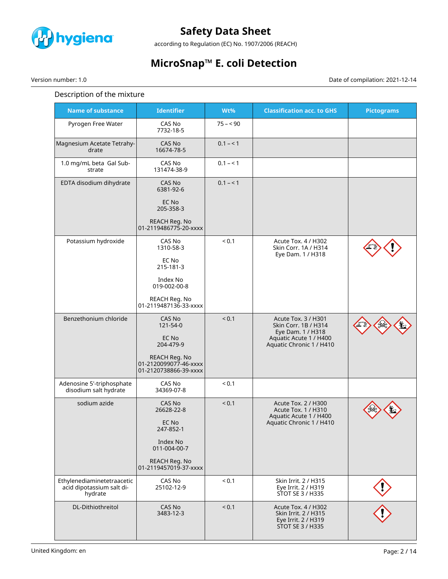

according to Regulation (EC) No. 1907/2006 (REACH)

# **MicroSnap™ E. coli Detection**

Version number: 1.0 Date of compilation: 2021-12-14

### Description of the mixture

| <b>Name of substance</b>                                           | <b>Identifier</b>                                               | $Wt\%$     | <b>Classification acc. to GHS</b>                                                             | <b>Pictograms</b> |
|--------------------------------------------------------------------|-----------------------------------------------------------------|------------|-----------------------------------------------------------------------------------------------|-------------------|
| Pyrogen Free Water                                                 | CAS No<br>7732-18-5                                             | $75 - 90$  |                                                                                               |                   |
| Magnesium Acetate Tetrahy-<br>drate                                | CAS No<br>16674-78-5                                            | $0.1 - 1$  |                                                                                               |                   |
| 1.0 mg/mL beta Gal Sub-<br>strate                                  | CAS No<br>131474-38-9                                           | $0.1 - 1$  |                                                                                               |                   |
| EDTA disodium dihydrate                                            | CAS No<br>6381-92-6                                             | $0.1 - 1$  |                                                                                               |                   |
|                                                                    | EC No<br>205-358-3                                              |            |                                                                                               |                   |
|                                                                    | REACH Reg. No<br>01-2119486775-20-xxxx                          |            |                                                                                               |                   |
| Potassium hydroxide                                                | CAS No<br>1310-58-3                                             | ${}_{0.1}$ | Acute Tox. 4 / H302<br>Skin Corr, 1A / H314<br>Eye Dam. 1 / H318                              |                   |
|                                                                    | EC No<br>215-181-3                                              |            |                                                                                               |                   |
|                                                                    | Index No<br>019-002-00-8                                        |            |                                                                                               |                   |
|                                                                    | REACH Reg. No<br>01-2119487136-33-xxxx                          |            |                                                                                               |                   |
| Benzethonium chloride                                              | CAS No<br>121-54-0                                              | ${}_{0.1}$ | Acute Tox. 3 / H301<br>Skin Corr. 1B / H314<br>Eye Dam. 1 / H318                              |                   |
|                                                                    | EC No<br>204-479-9                                              |            | Aquatic Acute 1 / H400<br>Aquatic Chronic 1 / H410                                            |                   |
|                                                                    | REACH Reg. No<br>01-2120099077-46-xxxx<br>01-2120738866-39-xxxx |            |                                                                                               |                   |
| Adenosine 5'-triphosphate<br>disodium salt hydrate                 | CAS No<br>34369-07-8                                            | ${}_{0.1}$ |                                                                                               |                   |
| sodium azide                                                       | CAS No<br>26628-22-8                                            | < 0.1      | Acute Tox. 2 / H300<br>Acute Tox. 1 / H310<br>Aquatic Acute 1 / H400                          |                   |
|                                                                    | EC No<br>247-852-1                                              |            | Aquatic Chronic 1 / H410                                                                      |                   |
|                                                                    | Index No<br>011-004-00-7                                        |            |                                                                                               |                   |
|                                                                    | REACH Reg. No<br>01-2119457019-37-xxxx                          |            |                                                                                               |                   |
| Ethylenediaminetetraacetic<br>acid dipotassium salt di-<br>hydrate | CAS No<br>25102-12-9                                            | < 0.1      | Skin Irrit. 2 / H315<br>Eye Irrit. 2 / H319<br>STOT SE 3 / H335                               |                   |
| DL-Dithiothreitol                                                  | CAS No<br>3483-12-3                                             | < 0.1      | Acute Tox. 4 / H302<br>Skin Irrit. 2 / H315<br>Eye Irrit. 2 / H319<br><b>STOT SE 3 / H335</b> |                   |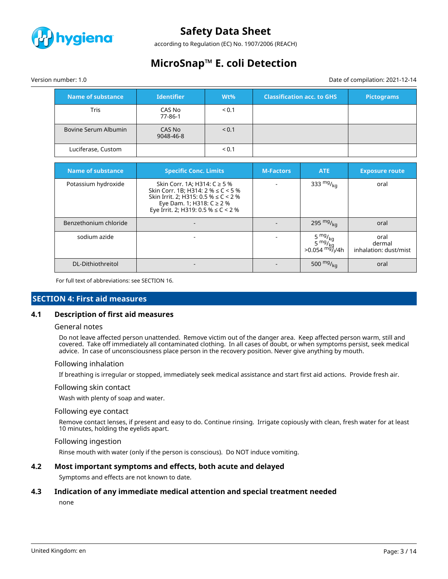

according to Regulation (EC) No. 1907/2006 (REACH)

## **MicroSnap™ E. coli Detection**

Version number: 1.0 Date of compilation: 2021-12-14

| Name of substance    | <b>Identifier</b>   | $Wt\%$ | <b>Classification acc. to GHS</b> | <b>Pictograms</b> |
|----------------------|---------------------|--------|-----------------------------------|-------------------|
| Tris                 | CAS No<br>77-86-1   | < 0.1  |                                   |                   |
| Bovine Serum Albumin | CAS No<br>9048-46-8 | < 0.1  |                                   |                   |
| Luciferase, Custom   |                     | < 0.1  |                                   |                   |

| <b>Name of substance</b> | <b>Specific Conc. Limits</b>                                                                                                                                                            | <b>M-Factors</b> | <b>ATE</b>                              | <b>Exposure route</b>                   |
|--------------------------|-----------------------------------------------------------------------------------------------------------------------------------------------------------------------------------------|------------------|-----------------------------------------|-----------------------------------------|
| Potassium hydroxide      | Skin Corr. 1A; H314: C ≥ 5 %<br>Skin Corr. 1B; H314: $2\% \le C < 5\%$<br>Skin Irrit. 2; H315: 0.5 % $\leq C$ < 2 %<br>Eye Dam. 1; H318: C ≥ 2 %<br>Eye Irrit. 2; H319: 0.5 % ≤ C < 2 % |                  | 333 $mg/_{kq}$                          | oral                                    |
| Benzethonium chloride    |                                                                                                                                                                                         |                  | 295 $mg/_{kg}$                          | oral                                    |
| sodium azide             |                                                                                                                                                                                         |                  | >0.054 <sup>mg</sup> / <sub>l</sub> /4h | oral<br>dermal<br>inhalation: dust/mist |
| DL-Dithiothreitol        |                                                                                                                                                                                         |                  | 500 $mg/_{kg}$                          | oral                                    |

For full text of abbreviations: see SECTION 16.

### **SECTION 4: First aid measures**

### **4.1 Description of first aid measures**

#### General notes

Do not leave affected person unattended. Remove victim out of the danger area. Keep affected person warm, still and covered. Take off immediately all contaminated clothing. In all cases of doubt, or when symptoms persist, seek medical advice. In case of unconsciousness place person in the recovery position. Never give anything by mouth.

#### Following inhalation

If breathing is irregular or stopped, immediately seek medical assistance and start first aid actions. Provide fresh air.

#### Following skin contact

Wash with plenty of soap and water.

#### Following eye contact

Remove contact lenses, if present and easy to do. Continue rinsing. Irrigate copiously with clean, fresh water for at least 10 minutes, holding the eyelids apart.

#### Following ingestion

Rinse mouth with water (only if the person is conscious). Do NOT induce vomiting.

### **4.2 Most important symptoms and effects, both acute and delayed**

Symptoms and effects are not known to date.

#### **4.3 Indication of any immediate medical attention and special treatment needed**

none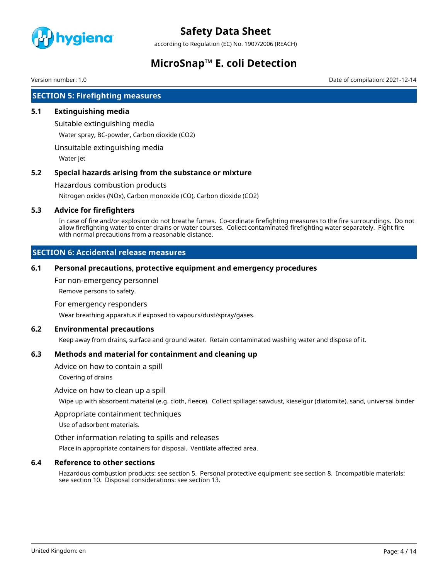

according to Regulation (EC) No. 1907/2006 (REACH)

# **MicroSnap™ E. coli Detection**

Version number: 1.0 Date of compilation: 2021-12-14

### **SECTION 5: Firefighting measures**

### **5.1 Extinguishing media**

Suitable extinguishing media

Water spray, BC-powder, Carbon dioxide (CO2)

Unsuitable extinguishing media

Water jet

### **5.2 Special hazards arising from the substance or mixture**

Hazardous combustion products

Nitrogen oxides (NOx), Carbon monoxide (CO), Carbon dioxide (CO2)

### **5.3 Advice for firefighters**

In case of fire and/or explosion do not breathe fumes. Co-ordinate firefighting measures to the fire surroundings. Do not allow firefighting water to enter drains or water courses. Collect contaminated firefighting water separately. Fight fire with normal precautions from a reasonable distance.

### **SECTION 6: Accidental release measures**

### **6.1 Personal precautions, protective equipment and emergency procedures**

For non-emergency personnel

Remove persons to safety.

For emergency responders

Wear breathing apparatus if exposed to vapours/dust/spray/gases.

#### **6.2 Environmental precautions**

Keep away from drains, surface and ground water. Retain contaminated washing water and dispose of it.

### **6.3 Methods and material for containment and cleaning up**

Advice on how to contain a spill

Covering of drains

### Advice on how to clean up a spill

Wipe up with absorbent material (e.g. cloth, fleece). Collect spillage: sawdust, kieselgur (diatomite), sand, universal binder

#### Appropriate containment techniques

Use of adsorbent materials.

### Other information relating to spills and releases

Place in appropriate containers for disposal. Ventilate affected area.

### **6.4 Reference to other sections**

Hazardous combustion products: see section 5. Personal protective equipment: see section 8. Incompatible materials: see section 10. Disposal considerations: see section 13.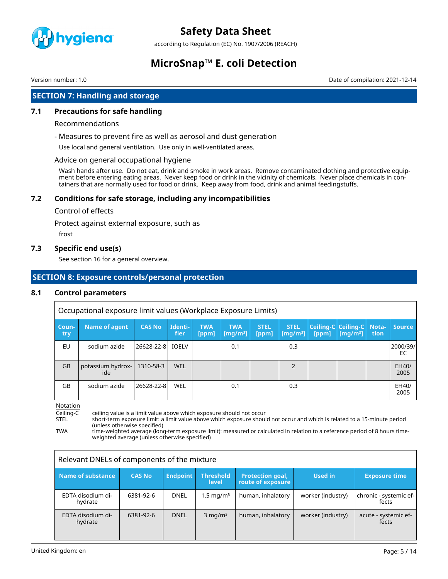

according to Regulation (EC) No. 1907/2006 (REACH)

### **MicroSnap™ E. coli Detection**

Version number: 1.0 Date of compilation: 2021-12-14

### **SECTION 7: Handling and storage**

### **7.1 Precautions for safe handling**

#### Recommendations

- Measures to prevent fire as well as aerosol and dust generation

Use local and general ventilation. Use only in well-ventilated areas.

#### Advice on general occupational hygiene

Wash hands after use. Do not eat, drink and smoke in work areas. Remove contaminated clothing and protective equipment before entering eating areas. Never keep food or drink in the vicinity of chemicals. Never place chemicals in containers that are normally used for food or drink. Keep away from food, drink and animal feedingstuffs.

### **7.2 Conditions for safe storage, including any incompatibilities**

#### Control of effects

Protect against external exposure, such as

frost

### **7.3 Specific end use(s)**

See section 16 for a general overview.

### **SECTION 8: Exposure controls/personal protection**

### **8.1 Control parameters**

|              | Occupational exposure limit values (Workplace Exposure Limits) |                  |                 |                     |                                                  |                      |                                             |       |                                                   |      |                |
|--------------|----------------------------------------------------------------|------------------|-----------------|---------------------|--------------------------------------------------|----------------------|---------------------------------------------|-------|---------------------------------------------------|------|----------------|
| Coun-<br>try | Name of agent                                                  | <b>CAS No</b>    | Identi-<br>fier | <b>TWA</b><br>[ppm] | <b>TWA</b><br>$\lfloor$ [mq/m $^{3}$ ] $\rfloor$ | <b>STEL</b><br>[ppm] | <b>STEL</b><br>$\left[\text{mq/m}^3\right]$ | [ppm] | Ceiling-C Ceiling-C Nota-<br>[mq/m <sup>3</sup> ] | tion | <b>Source</b>  |
| EU           | sodium azide                                                   | 26628-22-8 IOELV |                 |                     | 0.1                                              |                      | 0.3                                         |       |                                                   |      | 2000/39/<br>EC |
| <b>GB</b>    | potassium hydrox-<br>ide                                       | 1310-58-3        | <b>WEL</b>      |                     |                                                  |                      | $\mathcal{P}$                               |       |                                                   |      | EH40/<br>2005  |
| GB           | sodium azide                                                   | 26628-22-8       | <b>WEL</b>      |                     | 0.1                                              |                      | 0.3                                         |       |                                                   |      | EH40/<br>2005  |

Notation

Ceiling-C ceiling value is a limit value above which exposure should not occur<br>STEL short-term exposure limit: a limit value above which exposure shoul

STEL short-term exposure limit: a limit value above which exposure should not occur and which is related to a 15-minute period (unless otherwise specified)

TWA time-weighted average (long-term exposure limit): measured or calculated in relation to a reference period of 8 hours timeweighted average (unless otherwise specified)

| Relevant DNELs of components of the mixture |               |                 |                           |                                              |                   |                                 |
|---------------------------------------------|---------------|-----------------|---------------------------|----------------------------------------------|-------------------|---------------------------------|
| Name of substance                           | <b>CAS No</b> | <b>Endpoint</b> | <b>Threshold</b><br>level | <b>Protection goal,</b><br>route of exposure | Used in           | <b>Exposure time</b>            |
| EDTA disodium di-<br>hydrate                | 6381-92-6     | <b>DNEL</b>     | $1.5 \,\mathrm{mg/m^3}$   | human, inhalatory                            | worker (industry) | chronic - systemic ef-<br>fects |
| EDTA disodium di-<br>hydrate                | 6381-92-6     | <b>DNEL</b>     | $3$ mg/m <sup>3</sup>     | human, inhalatory                            | worker (industry) | acute - systemic ef-<br>fects   |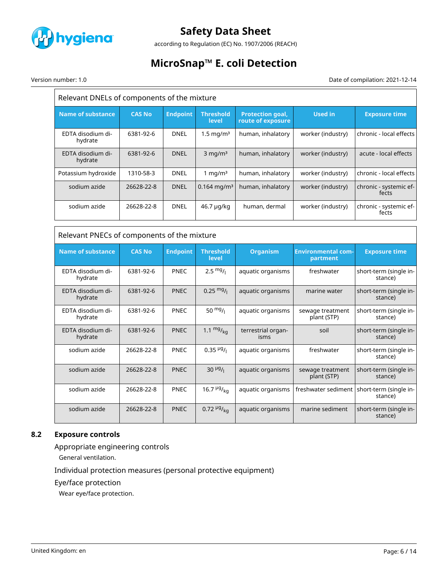

according to Regulation (EC) No. 1907/2006 (REACH)

# **MicroSnap™ E. coli Detection**

Version number: 1.0 Date of compilation: 2021-12-14

| Relevant DNELs of components of the mixture |               |                 |                           |                                              |                                       |                                   |  |
|---------------------------------------------|---------------|-----------------|---------------------------|----------------------------------------------|---------------------------------------|-----------------------------------|--|
| <b>Name of substance</b>                    | <b>CAS No</b> | <b>Endpoint</b> | <b>Threshold</b><br>level | <b>Protection goal,</b><br>route of exposure | <b>Used in</b>                        | <b>Exposure time</b>              |  |
| EDTA disodium di-<br>hydrate                | 6381-92-6     | <b>DNEL</b>     | $1.5 \text{ mg/m}^3$      | human, inhalatory                            | worker (industry)                     | chronic - local effects           |  |
| EDTA disodium di-<br>hydrate                | 6381-92-6     | <b>DNEL</b>     | $3$ mg/m <sup>3</sup>     | human, inhalatory                            | worker (industry)                     | acute - local effects             |  |
| Potassium hydroxide                         | 1310-58-3     | DNEL            | 1 mg/ $m3$                | human, inhalatory                            | worker (industry)                     | chronic - local effects           |  |
| sodium azide                                | 26628-22-8    | <b>DNEL</b>     | $0.164$ mg/m <sup>3</sup> | human, inhalatory                            | worker (industry)                     | chronic - systemic ef-<br>fects   |  |
| sodium azide                                | 26628-22-8    | <b>DNEL</b>     | 46.7 µg/kg                | human, dermal                                | worker (industry)                     | chronic - systemic ef-<br>fects   |  |
|                                             |               |                 |                           |                                              |                                       |                                   |  |
| Relevant PNECs of components of the mixture |               |                 |                           |                                              |                                       |                                   |  |
| <b>Name of substance</b>                    | <b>CAS No</b> | <b>Endpoint</b> | <b>Threshold</b><br>level | <b>Organism</b>                              | <b>Environmental com-</b><br>partment | <b>Exposure time</b>              |  |
| EDTA disodium di-<br>hydrate                | 6381-92-6     | <b>PNEC</b>     | $2.5 \frac{mg}{l}$        | aquatic organisms                            | freshwater                            | short-term (single in-<br>stance) |  |
| EDTA disodium di-<br>hydrate                | 6381-92-6     | <b>PNEC</b>     | $0.25 \frac{mg}{l}$       | aquatic organisms                            | marine water                          | short-term (single in-<br>stance) |  |
| EDTA disodium di-<br>hydrate                | 6381-92-6     | <b>PNEC</b>     | 50 $mg/1$                 | aquatic organisms                            | sewage treatment<br>plant (STP)       | short-term (single in-<br>stance) |  |
| EDTA disodium di-<br>hydrate                | 6381-92-6     | <b>PNEC</b>     | 1.1 $mg/_{kq}$            | terrestrial organ-<br>isms                   | soil                                  | short-term (single in-<br>stance) |  |
| sodium azide                                | 26628-22-8    | PNEC            | $0.35\frac{\mu g}{I}$     | aquatic organisms                            | freshwater                            | short-term (single in-<br>stance) |  |
| sodium azide                                | 26628-22-8    | <b>PNEC</b>     | $30 \frac{\mu g}{I}$      | aquatic organisms                            | sewage treatment<br>plant (STP)       | short-term (single in-<br>stance) |  |
| sodium azide                                | 26628-22-8    | <b>PNEC</b>     | 16.7 $\frac{\mu g}{kq}$   | aquatic organisms                            | freshwater sediment                   | short-term (single in-<br>stance) |  |
| sodium azide                                | 26628-22-8    | <b>PNEC</b>     | $0.72 \frac{\mu g}{kq}$   | aquatic organisms                            | marine sediment                       | short-term (single in-            |  |

### **8.2 Exposure controls**

Appropriate engineering controls

General ventilation.

Individual protection measures (personal protective equipment)

Eye/face protection

Wear eye/face protection.

stance)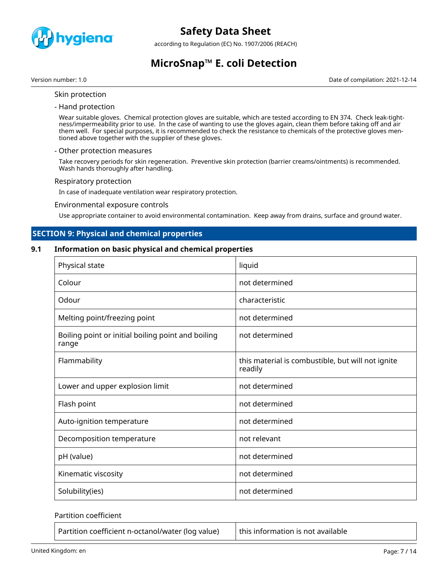

according to Regulation (EC) No. 1907/2006 (REACH)

# **MicroSnap™ E. coli Detection**

Version number: 1.0 Date of compilation: 2021-12-14

- Skin protection
- Hand protection

Wear suitable gloves. Chemical protection gloves are suitable, which are tested according to EN 374. Check leak-tightness/impermeability prior to use. In the case of wanting to use the gloves again, clean them before taking off and air them well. For special purposes, it is recommended to check the resistance to chemicals of the protective gloves mentioned above together with the supplier of these gloves.

#### - Other protection measures

Take recovery periods for skin regeneration. Preventive skin protection (barrier creams/ointments) is recommended. Wash hands thoroughly after handling.

#### Respiratory protection

In case of inadequate ventilation wear respiratory protection.

#### Environmental exposure controls

Use appropriate container to avoid environmental contamination. Keep away from drains, surface and ground water.

### **SECTION 9: Physical and chemical properties**

### **9.1 Information on basic physical and chemical properties**

| Physical state                                              | liquid                                                       |
|-------------------------------------------------------------|--------------------------------------------------------------|
| Colour                                                      | not determined                                               |
| Odour                                                       | characteristic                                               |
| Melting point/freezing point                                | not determined                                               |
| Boiling point or initial boiling point and boiling<br>range | not determined                                               |
| Flammability                                                | this material is combustible, but will not ignite<br>readily |
| Lower and upper explosion limit                             | not determined                                               |
| Flash point                                                 | not determined                                               |
| Auto-ignition temperature                                   | not determined                                               |
| Decomposition temperature                                   | not relevant                                                 |
| pH (value)                                                  | not determined                                               |
| Kinematic viscosity                                         | not determined                                               |
| Solubility(ies)                                             | not determined                                               |

#### Partition coefficient

Partition coefficient n-octanol/water (log value)  $\vert$  this information is not available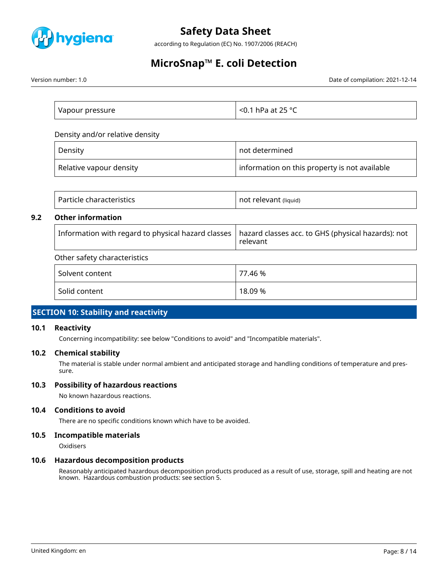

according to Regulation (EC) No. 1907/2006 (REACH)

# **MicroSnap™ E. coli Detection**

Version number: 1.0 Date of compilation: 2021-12-14

| Vapour pressure | $\sim$ <0.1 hPa at 25 °C $\,$ |
|-----------------|-------------------------------|

Density and/or relative density

| Density                 | not determined                                |
|-------------------------|-----------------------------------------------|
| Relative vapour density | information on this property is not available |

|     | Particle characteristics                           | not relevant (liquid)                                          |
|-----|----------------------------------------------------|----------------------------------------------------------------|
| 9.2 | <b>Other information</b>                           |                                                                |
|     | Information with regard to physical hazard classes | hazard classes acc. to GHS (physical hazards): not<br>relevant |
|     | Other safety characteristics                       |                                                                |
|     | Solvent content                                    | 77.46 %                                                        |
|     | Solid content                                      | 18.09 %                                                        |

### **SECTION 10: Stability and reactivity**

#### **10.1 Reactivity**

Concerning incompatibility: see below "Conditions to avoid" and "Incompatible materials".

### **10.2 Chemical stability**

The material is stable under normal ambient and anticipated storage and handling conditions of temperature and pressure.

#### **10.3 Possibility of hazardous reactions**

No known hazardous reactions.

### **10.4 Conditions to avoid**

There are no specific conditions known which have to be avoided.

### **10.5 Incompatible materials**

**Oxidisers** 

### **10.6 Hazardous decomposition products**

Reasonably anticipated hazardous decomposition products produced as a result of use, storage, spill and heating are not known. Hazardous combustion products: see section 5.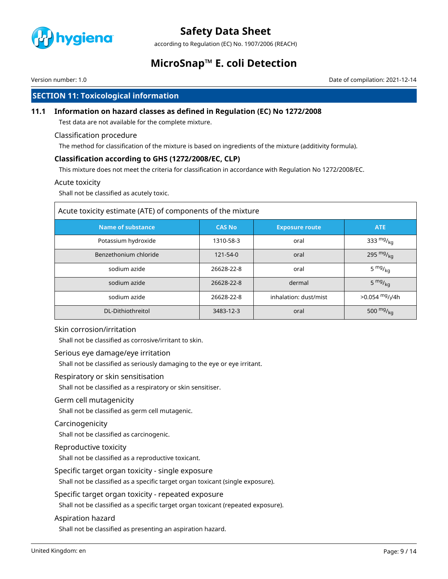

according to Regulation (EC) No. 1907/2006 (REACH)

# **MicroSnap™ E. coli Detection**

Version number: 1.0 Date of compilation: 2021-12-14

### **SECTION 11: Toxicological information**

### **11.1 Information on hazard classes as defined in Regulation (EC) No 1272/2008**

Test data are not available for the complete mixture.

### Classification procedure

The method for classification of the mixture is based on ingredients of the mixture (additivity formula).

### **Classification according to GHS (1272/2008/EC, CLP)**

This mixture does not meet the criteria for classification in accordance with Regulation No 1272/2008/EC.

### Acute toxicity

Shall not be classified as acutely toxic.

| Acute toxicity estimate (ATE) of components of the mixture |               |                       |                               |  |
|------------------------------------------------------------|---------------|-----------------------|-------------------------------|--|
| <b>Name of substance</b>                                   | <b>CAS No</b> | <b>Exposure route</b> | <b>ATE</b>                    |  |
| Potassium hydroxide                                        | 1310-58-3     | oral                  | 333 $mg/kq$                   |  |
| Benzethonium chloride                                      | 121-54-0      | oral                  | 295 $mg/_{kq}$                |  |
| sodium azide                                               | 26628-22-8    | oral                  | 5 $mg/kq$                     |  |
| sodium azide                                               | 26628-22-8    | dermal                | $5 \frac{mg}{kg}$             |  |
| sodium azide                                               | 26628-22-8    | inhalation: dust/mist | $>0.054$ mg/ <sub>l</sub> /4h |  |
| DL-Dithiothreitol                                          | 3483-12-3     | oral                  | 500 $mg/kq$                   |  |

#### Skin corrosion/irritation

Shall not be classified as corrosive/irritant to skin.

#### Serious eye damage/eye irritation

Shall not be classified as seriously damaging to the eye or eye irritant.

Respiratory or skin sensitisation

Shall not be classified as a respiratory or skin sensitiser.

### Germ cell mutagenicity

Shall not be classified as germ cell mutagenic.

### Carcinogenicity

Shall not be classified as carcinogenic.

### Reproductive toxicity

Shall not be classified as a reproductive toxicant.

Specific target organ toxicity - single exposure

Shall not be classified as a specific target organ toxicant (single exposure).

Specific target organ toxicity - repeated exposure

Shall not be classified as a specific target organ toxicant (repeated exposure).

### Aspiration hazard

Shall not be classified as presenting an aspiration hazard.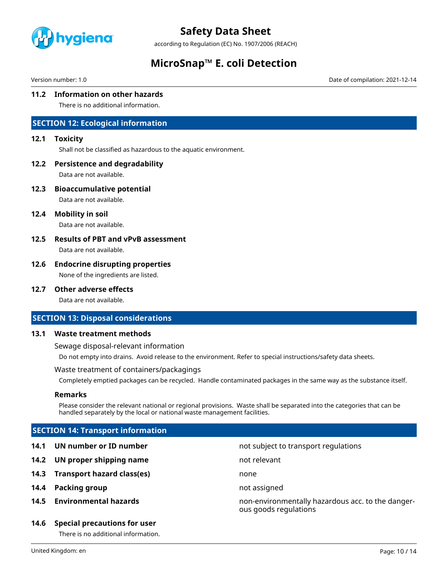

according to Regulation (EC) No. 1907/2006 (REACH)

### **MicroSnap™ E. coli Detection**

Version number: 1.0 Date of compilation: 2021-12-14

### **11.2 Information on other hazards**

There is no additional information.

### **SECTION 12: Ecological information**

### **12.1 Toxicity**

Shall not be classified as hazardous to the aquatic environment.

### **12.2 Persistence and degradability**

Data are not available.

**12.3 Bioaccumulative potential**

Data are not available.

**12.4 Mobility in soil**

Data are not available.

### **12.5 Results of PBT and vPvB assessment**

Data are not available.

### **12.6 Endocrine disrupting properties**

None of the ingredients are listed.

### **12.7 Other adverse effects**

Data are not available.

### **SECTION 13: Disposal considerations**

### **13.1 Waste treatment methods**

Sewage disposal-relevant information

Do not empty into drains. Avoid release to the environment. Refer to special instructions/safety data sheets.

#### Waste treatment of containers/packagings

Completely emptied packages can be recycled. Handle contaminated packages in the same way as the substance itself.

#### **Remarks**

Please consider the relevant national or regional provisions. Waste shall be separated into the categories that can be handled separately by the local or national waste management facilities.

### **SECTION 14: Transport information**

- **14.1 UN number or ID number not subject to transport regulations**
- **14.2 UN proper shipping name** not relevant
- **14.3 Transport hazard class(es)** none
- **14.4 Packing group not assigned**
- 

### **14.6 Special precautions for user**

There is no additional information.

**14.5 Environmental hazards** non-environmentally hazardous acc. to the dangerous goods regulations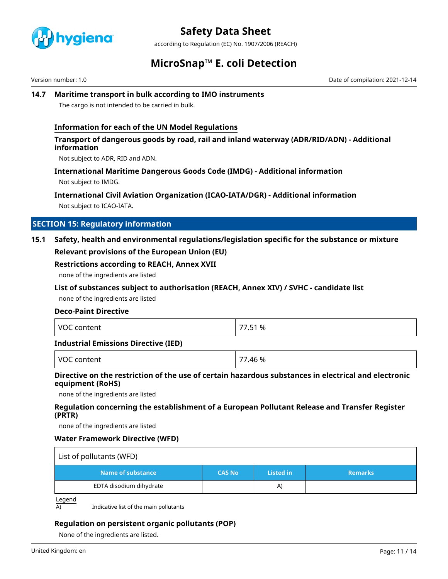

according to Regulation (EC) No. 1907/2006 (REACH)

### **MicroSnap™ E. coli Detection**

Version number: 1.0 Date of compilation: 2021-12-14

### **14.7 Maritime transport in bulk according to IMO instruments**

The cargo is not intended to be carried in bulk.

### **Information for each of the UN Model Regulations**

### **Transport of dangerous goods by road, rail and inland waterway (ADR/RID/ADN) - Additional information**

Not subject to ADR, RID and ADN.

### **International Maritime Dangerous Goods Code (IMDG) - Additional information**

Not subject to IMDG.

### **International Civil Aviation Organization (ICAO-IATA/DGR) - Additional information**

Not subject to ICAO-IATA.

### **SECTION 15: Regulatory information**

### **15.1 Safety, health and environmental regulations/legislation specific for the substance or mixture Relevant provisions of the European Union (EU)**

### **Restrictions according to REACH, Annex XVII**

none of the ingredients are listed

### **List of substances subject to authorisation (REACH, Annex XIV) / SVHC - candidate list**

none of the ingredients are listed

### **Deco-Paint Directive**

| <b>VOC</b><br>content | 77.51 % |
|-----------------------|---------|
|-----------------------|---------|

### **Industrial Emissions Directive (IED)**

| $\cdots$<br>- - -<br>$\mathcal{U}$<br>м | $\overline{\phantom{a}}$<br>46 % |
|-----------------------------------------|----------------------------------|
|-----------------------------------------|----------------------------------|

### **Directive on the restriction of the use of certain hazardous substances in electrical and electronic equipment (RoHS)**

none of the ingredients are listed

### **Regulation concerning the establishment of a European Pollutant Release and Transfer Register (PRTR)**

none of the ingredients are listed

### **Water Framework Directive (WFD)**

| List of pollutants (WFD) |               |                  |                |
|--------------------------|---------------|------------------|----------------|
| Name of substance        | <b>CAS No</b> | <b>Listed in</b> | <b>Remarks</b> |
| EDTA disodium dihydrate  |               | A)               |                |

Legend

 $\overline{A}$  Indicative list of the main pollutants

### **Regulation on persistent organic pollutants (POP)**

None of the ingredients are listed.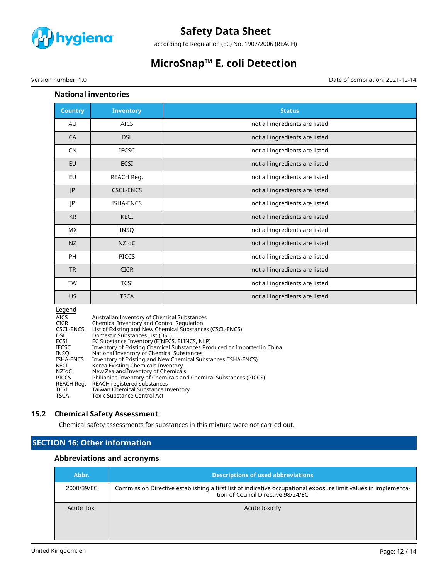

according to Regulation (EC) No. 1907/2006 (REACH)

# **MicroSnap™ E. coli Detection**

Version number: 1.0 Date of compilation: 2021-12-14

### **National inventories**

| <b>Country</b> | <b>Inventory</b> | <b>Status</b>                  |
|----------------|------------------|--------------------------------|
| AU             | <b>AICS</b>      | not all ingredients are listed |
| CA             | <b>DSL</b>       | not all ingredients are listed |
| <b>CN</b>      | <b>IECSC</b>     | not all ingredients are listed |
| EU             | <b>ECSI</b>      | not all ingredients are listed |
| EU             | REACH Reg.       | not all ingredients are listed |
| JP             | <b>CSCL-ENCS</b> | not all ingredients are listed |
| JP             | <b>ISHA-ENCS</b> | not all ingredients are listed |
| <b>KR</b>      | KECI             | not all ingredients are listed |
| <b>MX</b>      | <b>INSQ</b>      | not all ingredients are listed |
| <b>NZ</b>      | <b>NZIOC</b>     | not all ingredients are listed |
| PH             | <b>PICCS</b>     | not all ingredients are listed |
| <b>TR</b>      | <b>CICR</b>      | not all ingredients are listed |
| TW             | <b>TCSI</b>      | not all ingredients are listed |
| <b>US</b>      | <b>TSCA</b>      | not all ingredients are listed |

#### Legend

| <b>AICS</b>  | Australian Inventory of Chemical Substances                             |
|--------------|-------------------------------------------------------------------------|
| <b>CICR</b>  | Chemical Inventory and Control Regulation                               |
| CSCL-ENCS    | List of Existing and New Chemical Substances (CSCL-ENCS)                |
| <b>DSL</b>   | Domestic Substances List (DSL)                                          |
| ECSI         | EC Substance Inventory (EINECS, ELINCS, NLP)                            |
| <b>IECSC</b> | Inventory of Existing Chemical Substances Produced or Imported in China |
| INSO         | National Inventory of Chemical Substances                               |
| ISHA-ENCS    | Inventory of Existing and New Chemical Substances (ISHA-ENCS)           |
| KECI         | Korea Existing Chemicals Inventory                                      |
| NZIoC        | New Zealand Inventory of Chemicals                                      |
| <b>PICCS</b> | Philippine Inventory of Chemicals and Chemical Substances (PICCS)       |
| REACH Reg.   | REACH registered substances                                             |
| <b>TCSI</b>  | Taiwan Chemical Substance Inventory                                     |
| <b>TSCA</b>  | Toxic Substance Control Act                                             |

### **15.2 Chemical Safety Assessment**

Chemical safety assessments for substances in this mixture were not carried out.

### **SECTION 16: Other information**

### **Abbreviations and acronyms**

| Abbr.      | <b>Descriptions of used abbreviations</b>                                                                                                            |
|------------|------------------------------------------------------------------------------------------------------------------------------------------------------|
| 2000/39/EC | Commission Directive establishing a first list of indicative occupational exposure limit values in implementa-<br>tion of Council Directive 98/24/EC |
| Acute Tox. | Acute toxicity                                                                                                                                       |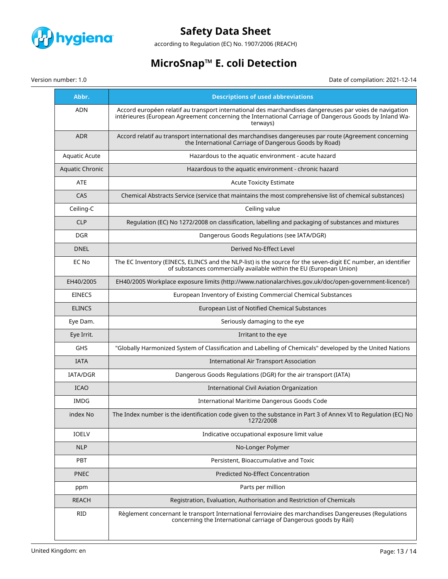

according to Regulation (EC) No. 1907/2006 (REACH)

# **MicroSnap™ E. coli Detection**

Version number: 1.0 Date of compilation: 2021-12-14

| Abbr.                  | <b>Descriptions of used abbreviations</b>                                                                                                                                                                                     |
|------------------------|-------------------------------------------------------------------------------------------------------------------------------------------------------------------------------------------------------------------------------|
| <b>ADN</b>             | Accord européen relatif au transport international des marchandises dangereuses par voies de navigation<br>intérieures (European Agreement concerning the International Carriage of Dangerous Goods by Inland Wa-<br>terways) |
| <b>ADR</b>             | Accord relatif au transport international des marchandises dangereuses par route (Agreement concerning<br>the International Carriage of Dangerous Goods by Road)                                                              |
| <b>Aquatic Acute</b>   | Hazardous to the aquatic environment - acute hazard                                                                                                                                                                           |
| <b>Aquatic Chronic</b> | Hazardous to the aquatic environment - chronic hazard                                                                                                                                                                         |
| <b>ATE</b>             | <b>Acute Toxicity Estimate</b>                                                                                                                                                                                                |
| CAS                    | Chemical Abstracts Service (service that maintains the most comprehensive list of chemical substances)                                                                                                                        |
| Ceiling-C              | Ceiling value                                                                                                                                                                                                                 |
| <b>CLP</b>             | Regulation (EC) No 1272/2008 on classification, labelling and packaging of substances and mixtures                                                                                                                            |
| <b>DGR</b>             | Dangerous Goods Regulations (see IATA/DGR)                                                                                                                                                                                    |
| <b>DNEL</b>            | Derived No-Effect Level                                                                                                                                                                                                       |
| EC No                  | The EC Inventory (EINECS, ELINCS and the NLP-list) is the source for the seven-digit EC number, an identifier<br>of substances commercially available within the EU (European Union)                                          |
| EH40/2005              | EH40/2005 Workplace exposure limits (http://www.nationalarchives.gov.uk/doc/open-government-licence/)                                                                                                                         |
| <b>EINECS</b>          | European Inventory of Existing Commercial Chemical Substances                                                                                                                                                                 |
| <b>ELINCS</b>          | European List of Notified Chemical Substances                                                                                                                                                                                 |
| Eye Dam.               | Seriously damaging to the eye                                                                                                                                                                                                 |
| Eye Irrit.             | Irritant to the eye                                                                                                                                                                                                           |
| GHS                    | "Globally Harmonized System of Classification and Labelling of Chemicals" developed by the United Nations                                                                                                                     |
| <b>IATA</b>            | International Air Transport Association                                                                                                                                                                                       |
| IATA/DGR               | Dangerous Goods Regulations (DGR) for the air transport (IATA)                                                                                                                                                                |
| <b>ICAO</b>            | <b>International Civil Aviation Organization</b>                                                                                                                                                                              |
| <b>IMDG</b>            | International Maritime Dangerous Goods Code                                                                                                                                                                                   |
| index No               | The Index number is the identification code given to the substance in Part 3 of Annex VI to Regulation (EC) No<br>1272/2008                                                                                                   |
| <b>IOELV</b>           | Indicative occupational exposure limit value                                                                                                                                                                                  |
| <b>NLP</b>             | No-Longer Polymer                                                                                                                                                                                                             |
| PBT                    | Persistent, Bioaccumulative and Toxic                                                                                                                                                                                         |
| <b>PNEC</b>            | Predicted No-Effect Concentration                                                                                                                                                                                             |
| ppm                    | Parts per million                                                                                                                                                                                                             |
| REACH                  | Registration, Evaluation, Authorisation and Restriction of Chemicals                                                                                                                                                          |
| <b>RID</b>             | Règlement concernant le transport International ferroviaire des marchandises Dangereuses (Regulations<br>concerning the International carriage of Dangerous goods by Rail)                                                    |